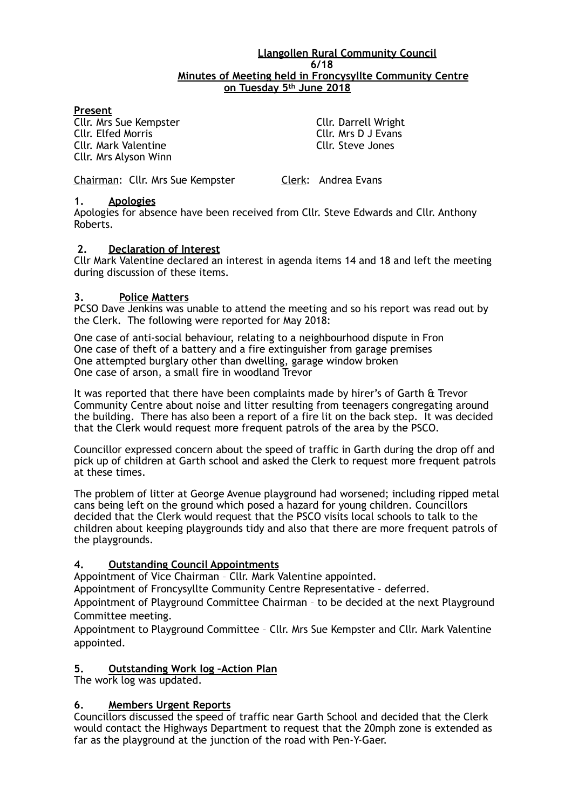## **Llangollen Rural Community Council 6/18 Minutes of Meeting held in Froncysyllte Community Centre on Tuesday 5th June 2018**

#### **Present**

**Cllr. Mrs Sue Kempster Cllr. Darrell Wright Cllr. Darrell Wright Cllr. Parrell Wright Cllr. Parrell Wright Cllr. Ars D J Evans** Cllr. Mark Valentine Cllr. Steve Jones Cllr. Mrs Alyson Winn

Cllr. Mrs D J Evans

Chairman: Cllr. Mrs Sue Kempster Clerk: Andrea Evans

## **1. Apologies**

Apologies for absence have been received from Cllr. Steve Edwards and Cllr. Anthony Roberts.

## **2. Declaration of Interest**

Cllr Mark Valentine declared an interest in agenda items 14 and 18 and left the meeting during discussion of these items.

#### **3. Police Matters**

PCSO Dave Jenkins was unable to attend the meeting and so his report was read out by the Clerk. The following were reported for May 2018:

One case of anti-social behaviour, relating to a neighbourhood dispute in Fron One case of theft of a battery and a fire extinguisher from garage premises One attempted burglary other than dwelling, garage window broken One case of arson, a small fire in woodland Trevor

It was reported that there have been complaints made by hirer's of Garth & Trevor Community Centre about noise and litter resulting from teenagers congregating around the building. There has also been a report of a fire lit on the back step. It was decided that the Clerk would request more frequent patrols of the area by the PSCO.

Councillor expressed concern about the speed of traffic in Garth during the drop off and pick up of children at Garth school and asked the Clerk to request more frequent patrols at these times.

The problem of litter at George Avenue playground had worsened; including ripped metal cans being left on the ground which posed a hazard for young children. Councillors decided that the Clerk would request that the PSCO visits local schools to talk to the children about keeping playgrounds tidy and also that there are more frequent patrols of the playgrounds.

## **4. Outstanding Council Appointments**

Appointment of Vice Chairman – Cllr. Mark Valentine appointed.

Appointment of Froncysyllte Community Centre Representative – deferred.

Appointment of Playground Committee Chairman – to be decided at the next Playground Committee meeting.

Appointment to Playground Committee – Cllr. Mrs Sue Kempster and Cllr. Mark Valentine appointed.

## **5. Outstanding Work log –Action Plan**

The work log was updated.

## **6. Members Urgent Reports**

Councillors discussed the speed of traffic near Garth School and decided that the Clerk would contact the Highways Department to request that the 20mph zone is extended as far as the playground at the junction of the road with Pen-Y-Gaer.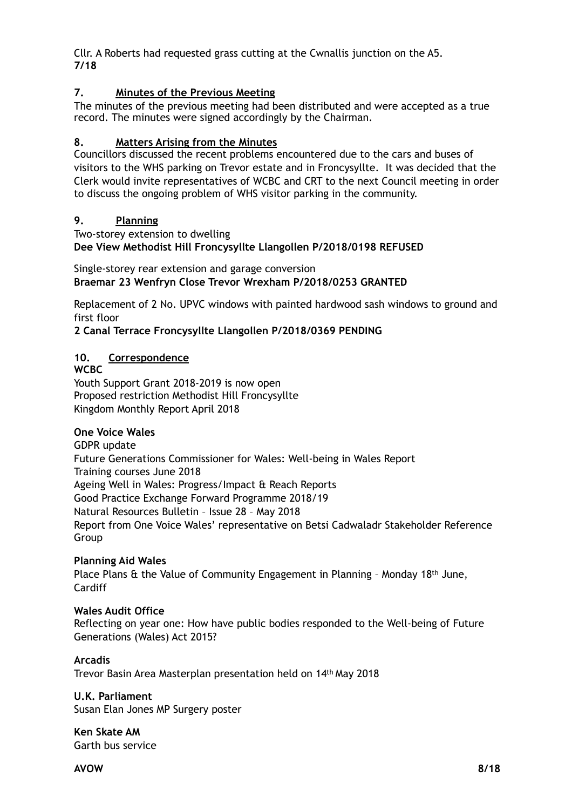Cllr. A Roberts had requested grass cutting at the Cwnallis junction on the A5. **7/18**

## **7. Minutes of the Previous Meeting**

The minutes of the previous meeting had been distributed and were accepted as a true record. The minutes were signed accordingly by the Chairman.

## **8. Matters Arising from the Minutes**

Councillors discussed the recent problems encountered due to the cars and buses of visitors to the WHS parking on Trevor estate and in Froncysyllte. It was decided that the Clerk would invite representatives of WCBC and CRT to the next Council meeting in order to discuss the ongoing problem of WHS visitor parking in the community.

## **9. Planning**

Two-storey extension to dwelling **Dee View Methodist Hill Froncysyllte Llangollen P/2018/0198 REFUSED** 

Single-storey rear extension and garage conversion **Braemar 23 Wenfryn Close Trevor Wrexham P/2018/0253 GRANTED** 

Replacement of 2 No. UPVC windows with painted hardwood sash windows to ground and first floor

**2 Canal Terrace Froncysyllte Llangollen P/2018/0369 PENDING** 

## **10. Correspondence**

**WCBC**  Youth Support Grant 2018-2019 is now open Proposed restriction Methodist Hill Froncysyllte Kingdom Monthly Report April 2018

## **One Voice Wales**

GDPR update Future Generations Commissioner for Wales: Well-being in Wales Report Training courses June 2018 Ageing Well in Wales: Progress/Impact & Reach Reports Good Practice Exchange Forward Programme 2018/19 Natural Resources Bulletin – Issue 28 – May 2018 Report from One Voice Wales' representative on Betsi Cadwaladr Stakeholder Reference Group

## **Planning Aid Wales**

Place Plans & the Value of Community Engagement in Planning – Monday 18th June, **Cardiff** 

## **Wales Audit Office**

Reflecting on year one: How have public bodies responded to the Well-being of Future Generations (Wales) Act 2015?

**Arcadis**  Trevor Basin Area Masterplan presentation held on 14th May 2018

**U.K. Parliament**  Susan Elan Jones MP Surgery poster

**Ken Skate AM**  Garth bus service

**AVOW 8/18**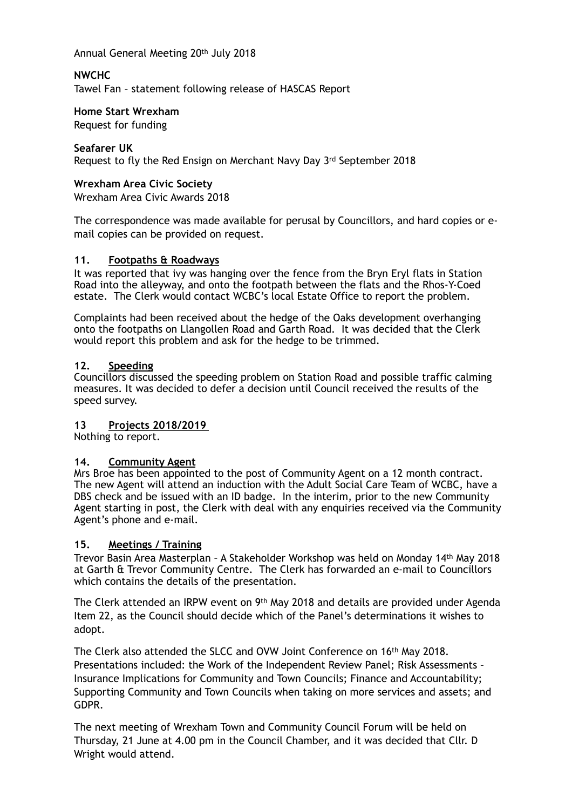Annual General Meeting 20th July 2018

## **NWCHC**

Tawel Fan – statement following release of HASCAS Report

#### **Home Start Wrexham**

Request for funding

## **Seafarer UK**

Request to fly the Red Ensign on Merchant Navy Day 3rd September 2018

### **Wrexham Area Civic Society**

Wrexham Area Civic Awards 2018

The correspondence was made available for perusal by Councillors, and hard copies or email copies can be provided on request.

#### **11. Footpaths & Roadways**

It was reported that ivy was hanging over the fence from the Bryn Eryl flats in Station Road into the alleyway, and onto the footpath between the flats and the Rhos-Y-Coed estate. The Clerk would contact WCBC's local Estate Office to report the problem.

Complaints had been received about the hedge of the Oaks development overhanging onto the footpaths on Llangollen Road and Garth Road. It was decided that the Clerk would report this problem and ask for the hedge to be trimmed.

#### **12. Speeding**

Councillors discussed the speeding problem on Station Road and possible traffic calming measures. It was decided to defer a decision until Council received the results of the speed survey.

## **13 Projects 2018/2019**

Nothing to report.

## **14. Community Agent**

Mrs Broe has been appointed to the post of Community Agent on a 12 month contract. The new Agent will attend an induction with the Adult Social Care Team of WCBC, have a DBS check and be issued with an ID badge. In the interim, prior to the new Community Agent starting in post, the Clerk with deal with any enquiries received via the Community Agent's phone and e-mail.

## **15. Meetings / Training**

Trevor Basin Area Masterplan – A Stakeholder Workshop was held on Monday 14th May 2018 at Garth & Trevor Community Centre. The Clerk has forwarded an e-mail to Councillors which contains the details of the presentation.

The Clerk attended an IRPW event on 9th May 2018 and details are provided under Agenda Item 22, as the Council should decide which of the Panel's determinations it wishes to adopt.

The Clerk also attended the SLCC and OVW Joint Conference on 16th May 2018. Presentations included: the Work of the Independent Review Panel; Risk Assessments – Insurance Implications for Community and Town Councils; Finance and Accountability; Supporting Community and Town Councils when taking on more services and assets; and GDPR.

The next meeting of Wrexham Town and Community Council Forum will be held on Thursday, 21 June at 4.00 pm in the Council Chamber, and it was decided that Cllr. D Wright would attend.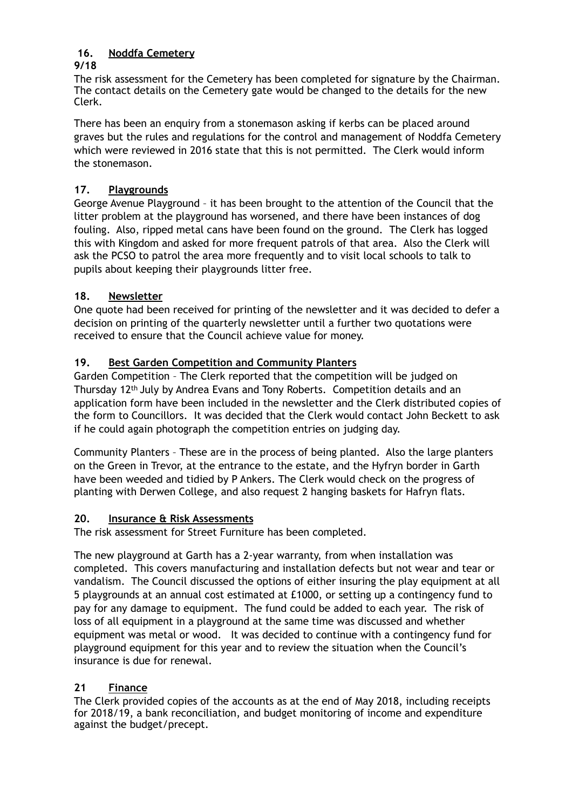#### **16. Noddfa Cemetery 9/18**

The risk assessment for the Cemetery has been completed for signature by the Chairman. The contact details on the Cemetery gate would be changed to the details for the new Clerk.

There has been an enquiry from a stonemason asking if kerbs can be placed around graves but the rules and regulations for the control and management of Noddfa Cemetery which were reviewed in 2016 state that this is not permitted. The Clerk would inform the stonemason.

# **17. Playgrounds**

George Avenue Playground – it has been brought to the attention of the Council that the litter problem at the playground has worsened, and there have been instances of dog fouling. Also, ripped metal cans have been found on the ground. The Clerk has logged this with Kingdom and asked for more frequent patrols of that area. Also the Clerk will ask the PCSO to patrol the area more frequently and to visit local schools to talk to pupils about keeping their playgrounds litter free.

# **18. Newsletter**

One quote had been received for printing of the newsletter and it was decided to defer a decision on printing of the quarterly newsletter until a further two quotations were received to ensure that the Council achieve value for money.

# **19. Best Garden Competition and Community Planters**

Garden Competition – The Clerk reported that the competition will be judged on Thursday 12th July by Andrea Evans and Tony Roberts. Competition details and an application form have been included in the newsletter and the Clerk distributed copies of the form to Councillors. It was decided that the Clerk would contact John Beckett to ask if he could again photograph the competition entries on judging day.

Community Planters – These are in the process of being planted. Also the large planters on the Green in Trevor, at the entrance to the estate, and the Hyfryn border in Garth have been weeded and tidied by P Ankers. The Clerk would check on the progress of planting with Derwen College, and also request 2 hanging baskets for Hafryn flats.

## **20. Insurance & Risk Assessments**

The risk assessment for Street Furniture has been completed.

The new playground at Garth has a 2-year warranty, from when installation was completed. This covers manufacturing and installation defects but not wear and tear or vandalism. The Council discussed the options of either insuring the play equipment at all 5 playgrounds at an annual cost estimated at £1000, or setting up a contingency fund to pay for any damage to equipment. The fund could be added to each year. The risk of loss of all equipment in a playground at the same time was discussed and whether equipment was metal or wood. It was decided to continue with a contingency fund for playground equipment for this year and to review the situation when the Council's insurance is due for renewal.

# **21 Finance**

The Clerk provided copies of the accounts as at the end of May 2018, including receipts for 2018/19, a bank reconciliation, and budget monitoring of income and expenditure against the budget/precept.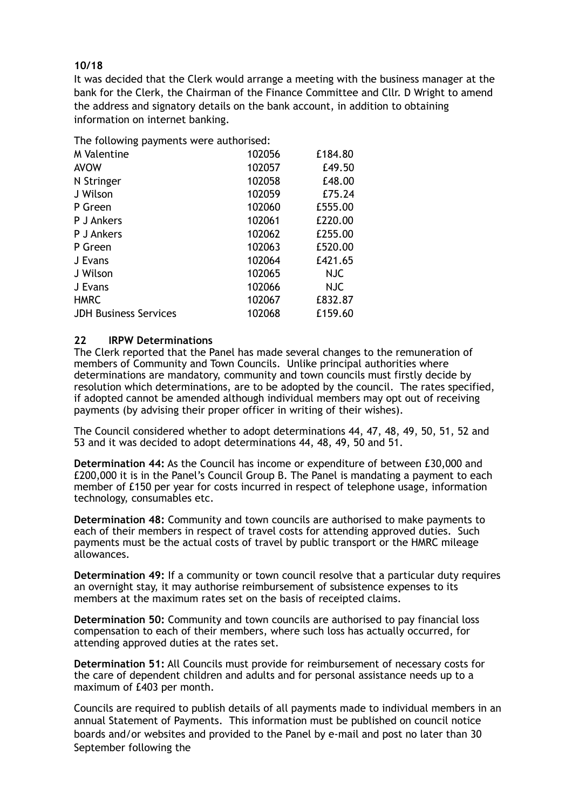## **10/18**

It was decided that the Clerk would arrange a meeting with the business manager at the bank for the Clerk, the Chairman of the Finance Committee and Cllr. D Wright to amend the address and signatory details on the bank account, in addition to obtaining information on internet banking.

The following payments were authorised:

| <b>M</b> Valentine           | 102056 | £184.80    |
|------------------------------|--------|------------|
| <b>AVOW</b>                  | 102057 | £49.50     |
| N Stringer                   | 102058 | £48.00     |
| J Wilson                     | 102059 | £75.24     |
| P Green                      | 102060 | £555.00    |
| <b>P</b> J Ankers            | 102061 | £220.00    |
| <b>P</b> J Ankers            | 102062 | £255.00    |
| P Green                      | 102063 | £520.00    |
| J Evans                      | 102064 | £421.65    |
| J Wilson                     | 102065 | <b>NJC</b> |
| J Evans                      | 102066 | NJC        |
| <b>HMRC</b>                  | 102067 | £832.87    |
| <b>JDH Business Services</b> | 102068 | £159.60    |

## **22 IRPW Determinations**

The Clerk reported that the Panel has made several changes to the remuneration of members of Community and Town Councils. Unlike principal authorities where determinations are mandatory, community and town councils must firstly decide by resolution which determinations, are to be adopted by the council. The rates specified, if adopted cannot be amended although individual members may opt out of receiving payments (by advising their proper officer in writing of their wishes).

The Council considered whether to adopt determinations 44, 47, 48, 49, 50, 51, 52 and 53 and it was decided to adopt determinations 44, 48, 49, 50 and 51.

**Determination 44:** As the Council has income or expenditure of between £30,000 and £200,000 it is in the Panel's Council Group B. The Panel is mandating a payment to each member of £150 per year for costs incurred in respect of telephone usage, information technology, consumables etc.

**Determination 48:** Community and town councils are authorised to make payments to each of their members in respect of travel costs for attending approved duties. Such payments must be the actual costs of travel by public transport or the HMRC mileage allowances.

**Determination 49:** If a community or town council resolve that a particular duty requires an overnight stay, it may authorise reimbursement of subsistence expenses to its members at the maximum rates set on the basis of receipted claims.

**Determination 50:** Community and town councils are authorised to pay financial loss compensation to each of their members, where such loss has actually occurred, for attending approved duties at the rates set.

**Determination 51:** All Councils must provide for reimbursement of necessary costs for the care of dependent children and adults and for personal assistance needs up to a maximum of £403 per month.

Councils are required to publish details of all payments made to individual members in an annual Statement of Payments. This information must be published on council notice boards and/or websites and provided to the Panel by e-mail and post no later than 30 September following the